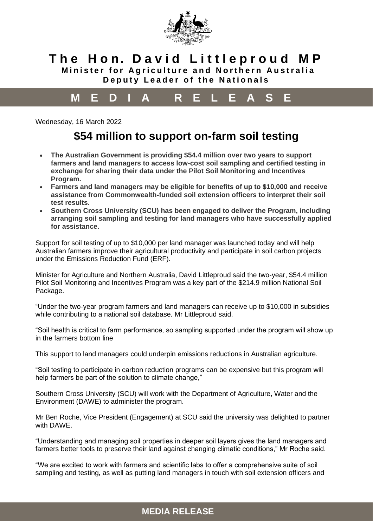

### **T h e H o n. D a v i d L i t t l e p r o u d M P Minister for Agriculture and Northern Australia**

**Deputy Leader of the Nationals**

# **M E D I A R E L E A S E**

Wednesday, 16 March 2022

# **\$54 million to support on-farm soil testing**

- **The Australian Government is providing \$54.4 million over two years to support farmers and land managers to access low-cost soil sampling and certified testing in exchange for sharing their data under the Pilot Soil Monitoring and Incentives Program.**
- **Farmers and land managers may be eligible for benefits of up to \$10,000 and receive assistance from Commonwealth-funded soil extension officers to interpret their soil test results.**
- **Southern Cross University (SCU) has been engaged to deliver the Program, including arranging soil sampling and testing for land managers who have successfully applied for assistance.**

Support for soil testing of up to \$10,000 per land manager was launched today and will help Australian farmers improve their agricultural productivity and participate in soil carbon projects under the Emissions Reduction Fund (ERF).

Minister for Agriculture and Northern Australia, David Littleproud said the two-year, \$54.4 million Pilot Soil Monitoring and Incentives Program was a key part of the \$214.9 million National Soil Package.

"Under the two-year program farmers and land managers can receive up to \$10,000 in subsidies while contributing to a national soil database. Mr Littleproud said.

"Soil health is critical to farm performance, so sampling supported under the program will show up in the farmers bottom line

This support to land managers could underpin emissions reductions in Australian agriculture.

"Soil testing to participate in carbon reduction programs can be expensive but this program will help farmers be part of the solution to climate change,"

Southern Cross University (SCU) will work with the Department of Agriculture, Water and the Environment (DAWE) to administer the program.

Mr Ben Roche, Vice President (Engagement) at SCU said the university was delighted to partner with DAWF

"Understanding and managing soil properties in deeper soil layers gives the land managers and farmers better tools to preserve their land against changing climatic conditions," Mr Roche said.

"We are excited to work with farmers and scientific labs to offer a comprehensive suite of soil sampling and testing, as well as putting land managers in touch with soil extension officers and

#### **MEDIA RELEASE**